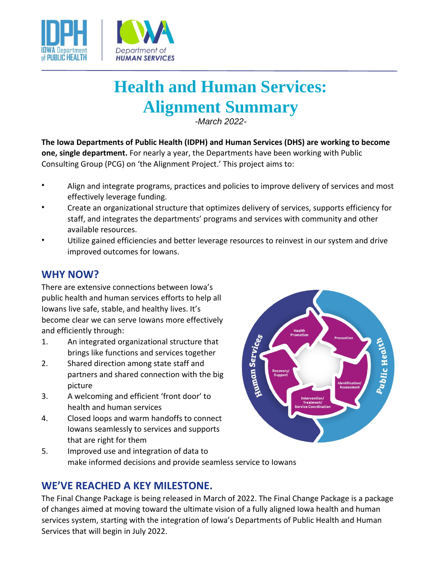

# **Health and Human Services: Alignment Summary**

*-March 2022-*

**The Iowa Departments of Public Health (IDPH) and Human Services (DHS) are working to become one, single department.** For nearly a year, the Departments have been working with Public Consulting Group (PCG) on 'the Alignment Project.' This project aims to:

- Align and integrate programs, practices and policies to improve delivery of services and most effectively leverage funding.
- Create an organizational structure that optimizes delivery of services, supports efficiency for staff, and integrates the departments' programs and services with community and other available resources.
- Utilize gained efficiencies and better leverage resources to reinvest in our system and drive improved outcomes for Iowans.

### **WHY NOW?**

There are extensive connections between Iowa's public health and human services efforts to help all Iowans live safe, stable, and healthy lives. It's become clear we can serve Iowans more effectively and efficiently through:

- 1. An integrated organizational structure that brings like functions and services together
- 2. Shared direction among state staff and partners and shared connection with the big picture
- 3. A welcoming and efficient 'front door' to health and human services
- 4. Closed loops and warm handoffs to connect Iowans seamlessly to services and supports that are right for them



5. Improved use and integration of data to make informed decisions and provide seamless service to Iowans

## **WE'VE REACHED A KEY MILESTONE.**

The Final Change Package is being released in March of 2022. The Final Change Package is a package of changes aimed at moving toward the ultimate vision of a fully aligned Iowa health and human services system, starting with the integration of Iowa's Departments of Public Health and Human Services that will begin in July 2022.